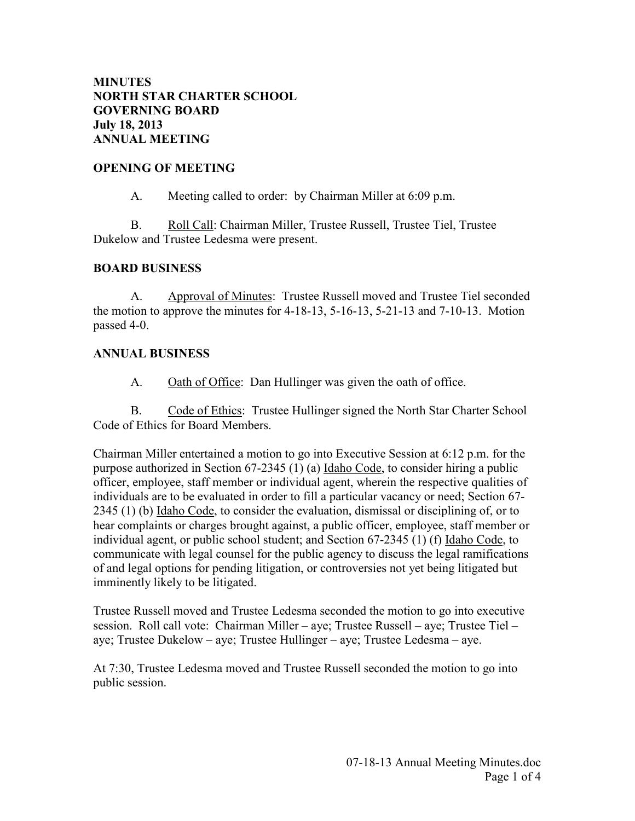#### **MINUTES NORTH STAR CHARTER SCHOOL GOVERNING BOARD July 18, 2013 ANNUAL MEETING**

#### **OPENING OF MEETING**

A. Meeting called to order: by Chairman Miller at 6:09 p.m.

 B. Roll Call: Chairman Miller, Trustee Russell, Trustee Tiel, Trustee Dukelow and Trustee Ledesma were present.

### **BOARD BUSINESS**

 A. Approval of Minutes: Trustee Russell moved and Trustee Tiel seconded the motion to approve the minutes for 4-18-13, 5-16-13, 5-21-13 and 7-10-13. Motion passed 4-0.

### **ANNUAL BUSINESS**

A. Oath of Office: Dan Hullinger was given the oath of office.

 B. Code of Ethics: Trustee Hullinger signed the North Star Charter School Code of Ethics for Board Members.

Chairman Miller entertained a motion to go into Executive Session at 6:12 p.m. for the purpose authorized in Section 67-2345 (1) (a) Idaho Code, to consider hiring a public officer, employee, staff member or individual agent, wherein the respective qualities of individuals are to be evaluated in order to fill a particular vacancy or need; Section 67- 2345 (1) (b) Idaho Code, to consider the evaluation, dismissal or disciplining of, or to hear complaints or charges brought against, a public officer, employee, staff member or individual agent, or public school student; and Section 67-2345 (1) (f) Idaho Code, to communicate with legal counsel for the public agency to discuss the legal ramifications of and legal options for pending litigation, or controversies not yet being litigated but imminently likely to be litigated.

Trustee Russell moved and Trustee Ledesma seconded the motion to go into executive session. Roll call vote: Chairman Miller – aye; Trustee Russell – aye; Trustee Tiel – aye; Trustee Dukelow – aye; Trustee Hullinger – aye; Trustee Ledesma – aye.

At 7:30, Trustee Ledesma moved and Trustee Russell seconded the motion to go into public session.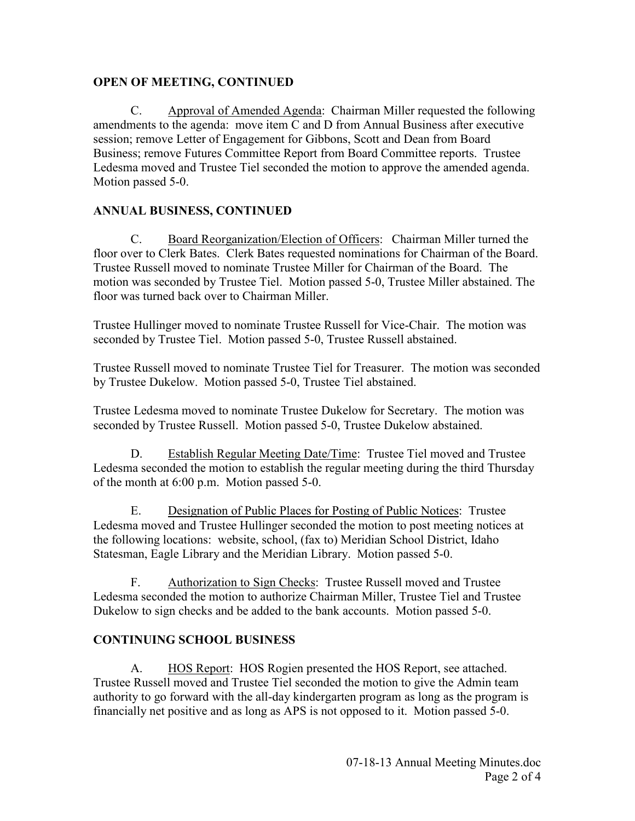### **OPEN OF MEETING, CONTINUED**

 C. Approval of Amended Agenda: Chairman Miller requested the following amendments to the agenda: move item C and D from Annual Business after executive session; remove Letter of Engagement for Gibbons, Scott and Dean from Board Business; remove Futures Committee Report from Board Committee reports. Trustee Ledesma moved and Trustee Tiel seconded the motion to approve the amended agenda. Motion passed 5-0.

## **ANNUAL BUSINESS, CONTINUED**

 C. Board Reorganization/Election of Officers: Chairman Miller turned the floor over to Clerk Bates. Clerk Bates requested nominations for Chairman of the Board. Trustee Russell moved to nominate Trustee Miller for Chairman of the Board. The motion was seconded by Trustee Tiel. Motion passed 5-0, Trustee Miller abstained. The floor was turned back over to Chairman Miller.

Trustee Hullinger moved to nominate Trustee Russell for Vice-Chair. The motion was seconded by Trustee Tiel. Motion passed 5-0, Trustee Russell abstained.

Trustee Russell moved to nominate Trustee Tiel for Treasurer. The motion was seconded by Trustee Dukelow. Motion passed 5-0, Trustee Tiel abstained.

Trustee Ledesma moved to nominate Trustee Dukelow for Secretary. The motion was seconded by Trustee Russell. Motion passed 5-0, Trustee Dukelow abstained.

D. Establish Regular Meeting Date/Time: Trustee Tiel moved and Trustee Ledesma seconded the motion to establish the regular meeting during the third Thursday of the month at 6:00 p.m. Motion passed 5-0.

 E. Designation of Public Places for Posting of Public Notices: Trustee Ledesma moved and Trustee Hullinger seconded the motion to post meeting notices at the following locations: website, school, (fax to) Meridian School District, Idaho Statesman, Eagle Library and the Meridian Library. Motion passed 5-0.

 F. Authorization to Sign Checks: Trustee Russell moved and Trustee Ledesma seconded the motion to authorize Chairman Miller, Trustee Tiel and Trustee Dukelow to sign checks and be added to the bank accounts. Motion passed 5-0.

### **CONTINUING SCHOOL BUSINESS**

A. HOS Report: HOS Rogien presented the HOS Report, see attached. Trustee Russell moved and Trustee Tiel seconded the motion to give the Admin team authority to go forward with the all-day kindergarten program as long as the program is financially net positive and as long as APS is not opposed to it. Motion passed 5-0.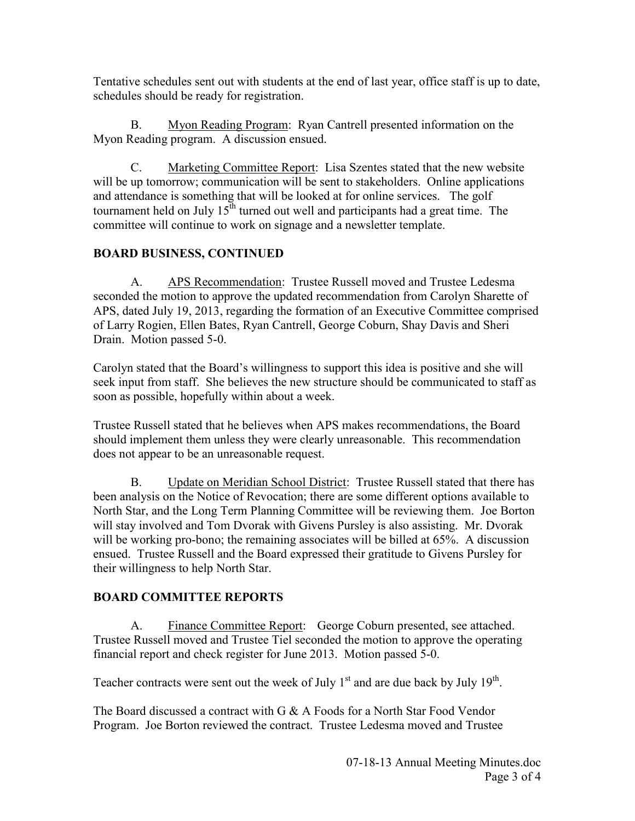Tentative schedules sent out with students at the end of last year, office staff is up to date, schedules should be ready for registration.

 B. Myon Reading Program: Ryan Cantrell presented information on the Myon Reading program. A discussion ensued.

 C. Marketing Committee Report: Lisa Szentes stated that the new website will be up tomorrow; communication will be sent to stakeholders. Online applications and attendance is something that will be looked at for online services. The golf tournament held on July  $15<sup>th</sup>$  turned out well and participants had a great time. The committee will continue to work on signage and a newsletter template.

# **BOARD BUSINESS, CONTINUED**

A. APS Recommendation: Trustee Russell moved and Trustee Ledesma seconded the motion to approve the updated recommendation from Carolyn Sharette of APS, dated July 19, 2013, regarding the formation of an Executive Committee comprised of Larry Rogien, Ellen Bates, Ryan Cantrell, George Coburn, Shay Davis and Sheri Drain. Motion passed 5-0.

Carolyn stated that the Board's willingness to support this idea is positive and she will seek input from staff. She believes the new structure should be communicated to staff as soon as possible, hopefully within about a week.

Trustee Russell stated that he believes when APS makes recommendations, the Board should implement them unless they were clearly unreasonable. This recommendation does not appear to be an unreasonable request.

B. Update on Meridian School District: Trustee Russell stated that there has been analysis on the Notice of Revocation; there are some different options available to North Star, and the Long Term Planning Committee will be reviewing them. Joe Borton will stay involved and Tom Dvorak with Givens Pursley is also assisting. Mr. Dvorak will be working pro-bono; the remaining associates will be billed at 65%. A discussion ensued. Trustee Russell and the Board expressed their gratitude to Givens Pursley for their willingness to help North Star.

# **BOARD COMMITTEE REPORTS**

A. Finance Committee Report: George Coburn presented, see attached. Trustee Russell moved and Trustee Tiel seconded the motion to approve the operating financial report and check register for June 2013. Motion passed 5-0.

Teacher contracts were sent out the week of July  $1<sup>st</sup>$  and are due back by July  $19<sup>th</sup>$ .

The Board discussed a contract with G & A Foods for a North Star Food Vendor Program. Joe Borton reviewed the contract. Trustee Ledesma moved and Trustee